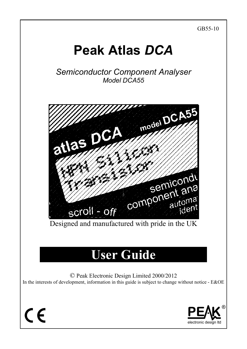GB55-10

# **Peak Atlas** *DCA*

*Semiconductor Component Analyser Model DCA55* 



Designed and manufactured with pride in the UK

# **User Guide**

© Peak Electronic Design Limited 2000/2012 In the interests of development, information in this guide is subject to change without notice - E&OE



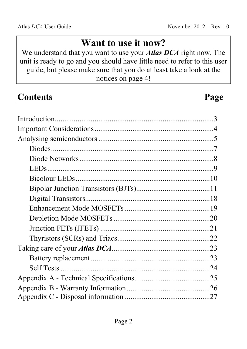# **Want to use it now?**

We understand that you want to use your *Atlas DCA* right now. The unit is ready to go and you should have little need to refer to this user guide, but please make sure that you do at least take a look at the notices on page 4!

| <b>Contents</b> | Page |
|-----------------|------|
|                 |      |
|                 |      |
|                 |      |
|                 |      |
|                 |      |
|                 |      |
|                 |      |
|                 |      |
|                 |      |
|                 |      |
|                 |      |
|                 |      |
|                 |      |
|                 |      |
|                 |      |
|                 |      |
|                 |      |
|                 |      |
|                 |      |
|                 |      |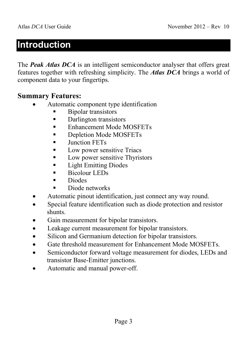### **Introduction**

The **Peak Atlas DCA** is an intelligent semiconductor analyser that offers great features together with refreshing simplicity. The *Atlas DCA* brings a world of component data to your fingertips.

#### **Summary Features:**

- Automatic component type identification
	- Bipolar transistors
	- Darlington transistors
	- Enhancement Mode MOSFETs
	- Depletion Mode MOSFETs
	- Junction FETs
	- Low power sensitive Triacs
	- **Low power sensitive Thyristors**
	- **Light Emitting Diodes**
	- Bicolour LEDs
	- **Diodes**
	- Diode networks
- Automatic pinout identification, just connect any way round.
- Special feature identification such as diode protection and resistor shunts.
- Gain measurement for bipolar transistors.
- Leakage current measurement for bipolar transistors.
- Silicon and Germanium detection for bipolar transistors.
- Gate threshold measurement for Enhancement Mode MOSFETs.
- Semiconductor forward voltage measurement for diodes, LEDs and transistor Base-Emitter junctions.
- Automatic and manual power-off.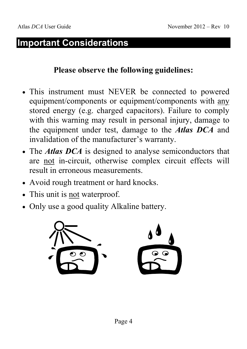# **Important Considerations**

#### **Please observe the following guidelines:**

- This instrument must NEVER be connected to powered equipment/components or equipment/components with any stored energy (e.g. charged capacitors). Failure to comply with this warning may result in personal injury, damage to the equipment under test, damage to the *Atlas DCA* and invalidation of the manufacturer's warranty.
- The *Atlas DCA* is designed to analyse semiconductors that are not in-circuit, otherwise complex circuit effects will result in erroneous measurements.
- Avoid rough treatment or hard knocks.
- This unit is not waterproof.
- Only use a good quality Alkaline battery.

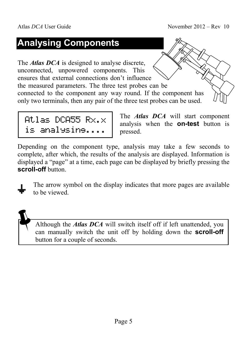# **Analysing Components**

The *Atlas DCA* is designed to analyse discrete, unconnected, unpowered components. This ensures that external connections don't influence the measured parameters. The three test probes can be connected to the component any way round. If the component has only two terminals, then any pair of the three test probes can be used.

Atlas DCA55  $Rx.x$ is analysing....

The *Atlas DCA* will start component analysis when the **on-test** button is pressed.

Depending on the component type, analysis may take a few seconds to complete, after which, the results of the analysis are displayed. Information is displayed a "page" at a time, each page can be displayed by briefly pressing the **scroll-off** button.

The arrow symbol on the display indicates that more pages are available to be viewed.

Although the *Atlas DCA* will switch itself off if left unattended, you can manually switch the unit off by holding down the **scroll-off** button for a couple of seconds.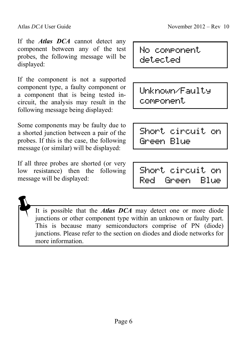If the *Atlas DCA* cannot detect any component between any of the test probes, the following message will be displayed:

If the component is not a supported component type, a faulty component or a component that is being tested incircuit, the analysis may result in the following message being displayed:

Some components may be faulty due to a shorted junction between a pair of the probes. If this is the case, the following message (or similar) will be displayed:

If all three probes are shorted (or very low resistance) then the following message will be displayed:

No component detected

Unknown/Faulty component

Short circuit on Green Blue

Short circuit on Red Green Blue

It is possible that the *Atlas DCA* may detect one or more diode junctions or other component type within an unknown or faulty part. This is because many semiconductors comprise of PN (diode) junctions. Please refer to the section on diodes and diode networks for more information.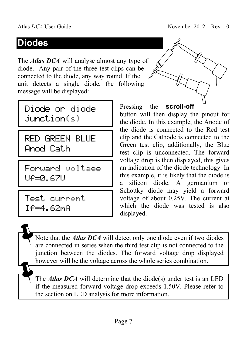# **Diodes**

The *Atlas DCA* will analyse almost any type of diode. Any pair of the three test clips can be connected to the diode, any way round. If the unit detects a single diode, the following message will be displayed:

Diode or diode junction(s)

RED GREEN BLUE Anod Cath

Forward voltage Vf=0.67V

Test current If=4.62mA

Pressing the **scroll-off** button will then display the pinout for the diode. In this example, the Anode of the diode is connected to the Red test clip and the Cathode is connected to the Green test clip, additionally, the Blue test clip is unconnected. The forward voltage drop is then displayed, this gives an indication of the diode technology. In this example, it is likely that the diode is a silicon diode. A germanium or Schottky diode may yield a forward voltage of about 0.25V. The current at which the diode was tested is also displayed.

Note that the *Atlas DCA* will detect only one diode even if two diodes are connected in series when the third test clip is not connected to the junction between the diodes. The forward voltage drop displayed however will be the voltage across the whole series combination.

The *Atlas DCA* will determine that the diode(s) under test is an LED if the measured forward voltage drop exceeds 1.50V. Please refer to the section on LED analysis for more information.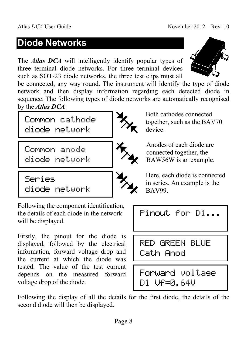# **Diode Networks**

The *Atlas DCA* will intelligently identify popular types of three terminal diode networks. For three terminal devices such as SOT-23 diode networks, the three test clips must all



be connected, any way round. The instrument will identify the type of diode network and then display information regarding each detected diode in sequence. The following types of diode networks are automatically recognised by the *Atlas DCA*:

Common cathode diode network

Common anode diode network





Both cathodes connected together, such as the BAV70 device.

Anodes of each diode are connected together, the BAW56W is an example.

Series diode network

will be displayed.

voltage drop of the diode.

Following the component identification, the details of each diode in the network

Firstly, the pinout for the diode is displayed, followed by the electrical information, forward voltage drop and the current at which the diode was tested. The value of the test current depends on the measured forward

Here, each diode is connected in series. An example is the BAV99.

Pinout for D1...

RED GREEN BLUE Cath Anod

Forward voltage D1 Vf=0.64V

Following the display of all the details for the first diode, the details of the second diode will then be displayed.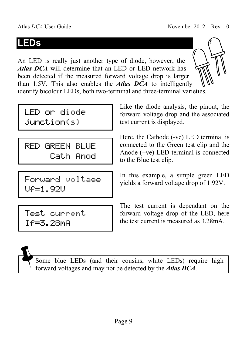# **LEDs**

An LED is really just another type of diode, however, the *Atlas DCA* will determine that an LED or LED network has been detected if the measured forward voltage drop is larger than 1.5V. This also enables the *Atlas DCA* to intelligently identify bicolour LEDs, both two-terminal and three-terminal varieties.

LED or diode junction(s)

RED GREEN BLUE Cath Anod

Forward voltage Vf=1.92V

Like the diode analysis, the pinout, the forward voltage drop and the associated test current is displayed.

Here, the Cathode (-ve) LED terminal is connected to the Green test clip and the Anode (+ve) LED terminal is connected to the Blue test clip.

In this example, a simple green LED yields a forward voltage drop of 1.92V.

The test current is dependant on the forward voltage drop of the LED, here the test current is measured as 3.28mA.

If=3.28mA

Test current

Some blue LEDs (and their cousins, white LEDs) require high forward voltages and may not be detected by the *Atlas DCA*.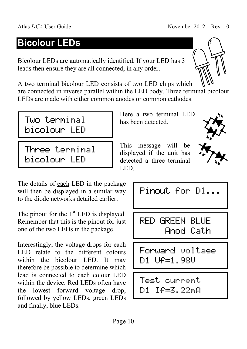# **Bicolour LEDs**

Bicolour LEDs are automatically identified. If your LED has 3 leads then ensure they are all connected, in any order.

A two terminal bicolour LED consists of two LED chips which are connected in inverse parallel within the LED body. Three terminal bicolour LEDs are made with either common anodes or common cathodes.



Three terminal bicolour LED

The details of each LED in the package will then be displayed in a similar way to the diode networks detailed earlier.

The pinout for the  $1<sup>st</sup>$  LED is displayed. Remember that this is the pinout for just one of the two LEDs in the package.

Interestingly, the voltage drops for each LED relate to the different colours within the bicolour LED. It may therefore be possible to determine which lead is connected to each colour LED within the device. Red LEDs often have the lowest forward voltage drop, followed by yellow LEDs, green LEDs and finally, blue LEDs.

Here a two terminal LED has been detected.

This message will be displayed if the unit has detected a three terminal LED.



Pinout for D1...

RED GREEN BLUE Anod Cath

Forward voltage D1 Vf=1.98V

Test current D1 If=3.22mA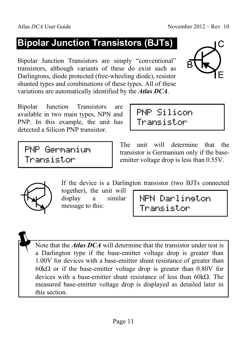# **Bipolar Junction Transistors (BJTs)**

Bipolar Junction Transistors are simply "conventional" transistors, although variants of these do exist such as Darlingtons, diode protected (free-wheeling diode), resistor shunted types and combinations of these types. All of these variations are automatically identified by the *Atlas DCA*.

Bipolar Junction Transistors are available in two main types, NPN and PNP. In this example, the unit has detected a Silicon PNP transistor.

PNP Germanium Transistor

The unit will determine that the transistor is Germanium only if the baseemitter voltage drop is less than 0.55V.

NPN Darlington

Transistor



display a similar message to this:

 Note that the *Atlas DCA* will determine that the transistor under test is a Darlington type if the base-emitter voltage drop is greater than 1.00V for devices with a base-emitter shunt resistance of greater than 60 $k\Omega$  or if the base-emitter voltage drop is greater than 0.80V for devices with a base-emitter shunt resistance of less than 60kΩ. The measured base-emitter voltage drop is displayed as detailed later in this section.



PNP Silicon Transistor

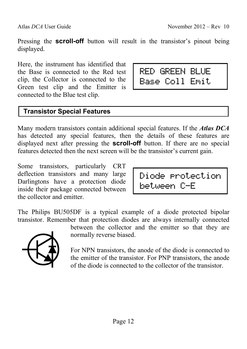Pressing the **scroll-off** button will result in the transistor's pinout being displayed.

Here, the instrument has identified that the Base is connected to the Red test clip, the Collector is connected to the Green test clip and the Emitter is connected to the Blue test clip.

#### **Transistor Special Features**

Many modern transistors contain additional special features. If the *Atlas DCA* has detected any special features, then the details of these features are displayed next after pressing the **scroll-off** button. If there are no special features detected then the next screen will be the transistor's current gain.

Some transistors, particularly CRT deflection transistors and many large Darlingtons have a protection diode inside their package connected between the collector and emitter.

The Philips BU505DF is a typical example of a diode protected bipolar transistor. Remember that protection diodes are always internally connected



between the collector and the emitter so that they are normally reverse biased.

For NPN transistors, the anode of the diode is connected to the emitter of the transistor. For PNP transistors, the anode of the diode is connected to the collector of the transistor.



Diode protection

between C-E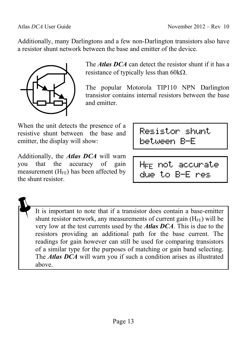Additionally, many Darlingtons and a few non-Darlington transistors also have a resistor shunt network between the base and emitter of the device.



The *Atlas DCA* can detect the resistor shunt if it has a resistance of typically less than 60kΩ.

The popular Motorola TIP110 NPN Darlington transistor contains internal resistors between the base and emitter.

When the unit detects the presence of a resistive shunt between the base and emitter, the display will show:

Additionally, the *Atlas DCA* will warn you that the accuracy of gain measurement  $(H_{FE})$  has been affected by the shunt resistor.

Resistor shunt between B-E

HFE not accurate due to B-E res

 It is important to note that if a transistor does contain a base-emitter shunt resistor network, any measurements of current gain  $(H_{FE})$  will be very low at the test currents used by the *Atlas DCA*. This is due to the resistors providing an additional path for the base current. The readings for gain however can still be used for comparing transistors of a similar type for the purposes of matching or gain band selecting. The *Atlas DCA* will warn you if such a condition arises as illustrated above.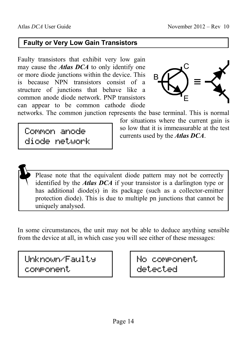#### **Faulty or Very Low Gain Transistors**

Faulty transistors that exhibit very low gain may cause the *Atlas DCA* to only identify one or more diode junctions within the device. This is because NPN transistors consist of a structure of junctions that behave like a common anode diode network. PNP transistors can appear to be common cathode diode



networks. The common junction represents the base terminal. This is normal

Common anode diode network for situations where the current gain is so low that it is immeasurable at the test currents used by the *Atlas DCA*.

 Please note that the equivalent diode pattern may not be correctly identified by the *Atlas DCA* if your transistor is a darlington type or has additional diode(s) in its package (such as a collector-emitter protection diode). This is due to multiple pn junctions that cannot be uniquely analysed.

In some circumstances, the unit may not be able to deduce anything sensible from the device at all, in which case you will see either of these messages:

Unknown/Faulty component

No component detected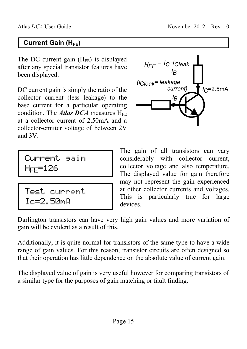#### **Current Gain (H<sub>FE</sub>)**

The DC current gain  $(H_{FE})$  is displayed after any special transistor features have been displayed.

DC current gain is simply the ratio of the collector current (less leakage) to the base current for a particular operating condition. The *Atlas DCA* measures  $H_{FE}$ at a collector current of 2.50mA and a collector-emitter voltage of between 2V and 3V.

Current gain  $H<sub>FF</sub>=126$ 

```
Test current 
Ic=2.50mA
```


The gain of all transistors can vary considerably with collector current, collector voltage and also temperature. The displayed value for gain therefore may not represent the gain experienced at other collector currents and voltages. This is particularly true for large devices.

Darlington transistors can have very high gain values and more variation of gain will be evident as a result of this.

Additionally, it is quite normal for transistors of the same type to have a wide range of gain values. For this reason, transistor circuits are often designed so that their operation has little dependence on the absolute value of current gain.

The displayed value of gain is very useful however for comparing transistors of a similar type for the purposes of gain matching or fault finding.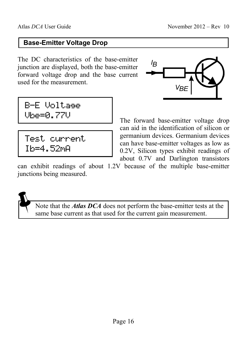#### **Base-Emitter Voltage Drop**

The DC characteristics of the base-emitter junction are displayed, both the base-emitter forward voltage drop and the base current used for the measurement.

B-E Voltage Vbe=0.77V

Test current Ib=4.52mA

$$
\overbrace{\phantom{aaaaa}}^{^{1B}}\underbrace{\qquad \qquad }_{\nu_{BE}}\underbrace{\qquad \qquad }_{\text{A}}\underbrace{\qquad \qquad }_{\text{B}}
$$

The forward base-emitter voltage drop can aid in the identification of silicon or germanium devices. Germanium devices can have base-emitter voltages as low as 0.2V, Silicon types exhibit readings of about 0.7V and Darlington transistors

can exhibit readings of about 1.2V because of the multiple base-emitter junctions being measured.

 Note that the *Atlas DCA* does not perform the base-emitter tests at the same base current as that used for the current gain measurement.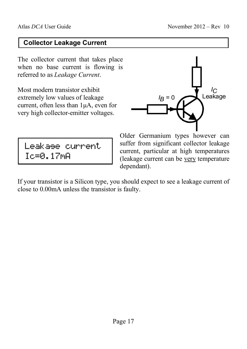#### **Collector Leakage Current**

The collector current that takes place when no base current is flowing is referred to as *Leakage Current*.

Most modern transistor exhibit extremely low values of leakage current, often less than 1µA, even for very high collector-emitter voltages.



Leakage current Ic=0.17mA

Older Germanium types however can suffer from significant collector leakage current, particular at high temperatures (leakage current can be very temperature dependant).

If your transistor is a Silicon type, you should expect to see a leakage current of close to 0.00mA unless the transistor is faulty.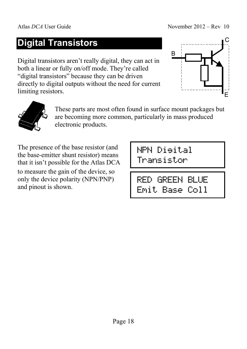# **Digital Transistors**

Digital transistors aren't really digital, they can act in both a linear or fully on/off mode. They're called "digital transistors" because they can be driven directly to digital outputs without the need for current limiting resistors.





These parts are most often found in surface mount packages but are becoming more common, particularly in mass produced electronic products.

The presence of the base resistor (and the base-emitter shunt resistor) means that it isn't possible for the Atlas DCA to measure the gain of the device, so only the device polarity (NPN/PNP) and pinout is shown.

NPN Digital Transistor

RED GREEN BLUE Emit Base Coll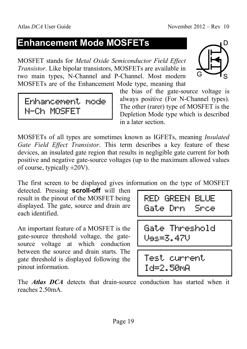# **Enhancement Mode MOSFETs**

MOSFET stands for *Metal Oxide Semiconductor Field Effect Transistor*. Like bipolar transistors, MOSFETs are available in two main types, N-Channel and P-Channel. Most modern MOSFETs are of the Enhancement Mode type, meaning that



the bias of the gate-source voltage is always positive (For N-Channel types). The other (rarer) type of MOSFET is the Depletion Mode type which is described in a later section.

MOSFETs of all types are sometimes known as IGFETs, meaning *Insulated Gate Field Effect Transistor*. This term describes a key feature of these devices, an insulated gate region that results in negligible gate current for both positive and negative gate-source voltages (up to the maximum allowed values of course, typically  $\pm 20V$ ).

The first screen to be displayed gives information on the type of MOSFET

detected. Pressing **scroll-off** will then result in the pinout of the MOSFET being displayed. The gate, source and drain are each identified.

An important feature of a MOSFET is the gate-source threshold voltage, the gatesource voltage at which conduction between the source and drain starts. The gate threshold is displayed following the pinout information.

|                                | ma ter<br>m | ----<br><br><br>"and forms   |
|--------------------------------|-------------|------------------------------|
| æ.<br>---<br>m<br>jest<br>`una | æ           | 18 H H<br>.<br>'nш<br>m<br>m |

Gate Threshold Vgs=3.47V

Test current Id=2.50mA

The *Atlas DCA* detects that drain-source conduction has started when it reaches 2.50mA.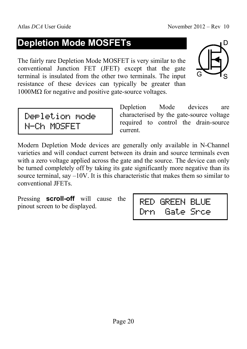# **Depletion Mode MOSFETs**

The fairly rare Depletion Mode MOSFET is very similar to the conventional Junction FET (JFET) except that the gate terminal is insulated from the other two terminals. The input resistance of these devices can typically be greater than  $1000MΩ$  for negative and positive gate-source voltages.



Depletion mode N-Ch MOSFET

Depletion Mode devices are characterised by the gate-source voltage required to control the drain-source current.

Modern Depletion Mode devices are generally only available in N-Channel varieties and will conduct current between its drain and source terminals even with a zero voltage applied across the gate and the source. The device can only be turned completely off by taking its gate significantly more negative than its source terminal, say –10V. It is this characteristic that makes them so similar to conventional JFETs.

Pressing **scroll-off** will cause the pinout screen to be displayed.

| --<br>m<br>. .<br>im | inn<br>inna                                                                  | ш<br>m<br>ilana "an" ilana                                   |
|----------------------|------------------------------------------------------------------------------|--------------------------------------------------------------|
| m<br>.               | . .<br><b>HH</b><br>--<br>┉<br>تسدا<br><br>`nne<br><b>THEFT</b><br>4007<br>w | mm<br>.<br><b>THE</b><br><b>BREE</b><br>Tung a<br><b>THE</b> |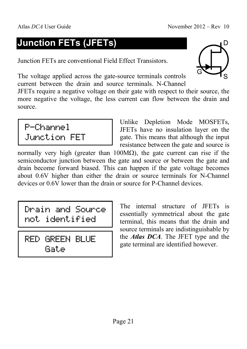# **Junction FETs (JFETs)**

Junction FETs are conventional Field Effect Transistors.

The voltage applied across the gate-source terminals controls current between the drain and source terminals. N-Channel

JFETs require a negative voltage on their gate with respect to their source, the more negative the voltage, the less current can flow between the drain and source.

P-Channel Junction FET

Unlike Depletion Mode MOSFETs, JFETs have no insulation layer on the gate. This means that although the input resistance between the gate and source is

normally very high (greater than  $100\text{M}\Omega$ ), the gate current can rise if the semiconductor junction between the gate and source or between the gate and drain become forward biased. This can happen if the gate voltage becomes about 0.6V higher than either the drain or source terminals for N-Channel devices or 0.6V lower than the drain or source for P-Channel devices.

Drain and Source not identified

RED GREEN BLUE Gate

The internal structure of JFETs is essentially symmetrical about the gate terminal, this means that the drain and source terminals are indistinguishable by the *Atlas DCA*. The JFET type and the gate terminal are identified however.

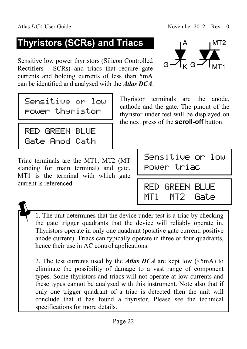# **Thyristors (SCRs) and Triacs**

Sensitive low power thyristors (Silicon Controlled Rectifiers - SCRs) and triacs that require gate currents and holding currents of less than 5mA can be identified and analysed with the *Atlas DCA*.

$$
\frac{1}{10^{4}} \sum_{k=1}^{M}
$$

Sensitive or low power thyristor

RED GREEN BLUE Gate Anod Cath

Triac terminals are the MT1, MT2 (MT standing for main terminal) and gate. MT1 is the terminal with which gate current is referenced.

| the next press of the <b>scroll-off</b> button. |  |
|-------------------------------------------------|--|
|                                                 |  |
|                                                 |  |

Thyristor terminals are the anode, cathode and the gate. The pinout of the thyristor under test will be displayed on

```
Sensitive or low 
power triac
```
RED GREEN BLUE MT1 MT2 Gate

 1. The unit determines that the device under test is a triac by checking the gate trigger quadrants that the device will reliably operate in. Thyristors operate in only one quadrant (positive gate current, positive anode current). Triacs can typically operate in three or four quadrants, hence their use in AC control applications.

 2. The test currents used by the *Atlas DCA* are kept low (<5mA) to eliminate the possibility of damage to a vast range of component types. Some thyristors and triacs will not operate at low currents and these types cannot be analysed with this instrument. Note also that if only one trigger quadrant of a triac is detected then the unit will conclude that it has found a thyristor. Please see the technical specifications for more details.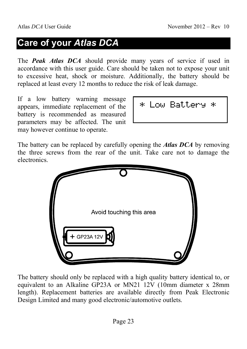# **Care of your** *Atlas DCA*

The *Peak Atlas DCA* should provide many years of service if used in accordance with this user guide. Care should be taken not to expose your unit to excessive heat, shock or moisture. Additionally, the battery should be replaced at least every 12 months to reduce the risk of leak damage.

If a low battery warning message appears, immediate replacement of the battery is recommended as measured parameters may be affected. The unit may however continue to operate.

| w | łat.t.<br>ふとい<br> |  |
|---|-------------------|--|
|---|-------------------|--|

The battery can be replaced by carefully opening the *Atlas DCA* by removing the three screws from the rear of the unit. Take care not to damage the electronics.



The battery should only be replaced with a high quality battery identical to, or equivalent to an Alkaline GP23A or MN21 12V (10mm diameter x 28mm length). Replacement batteries are available directly from Peak Electronic Design Limited and many good electronic/automotive outlets.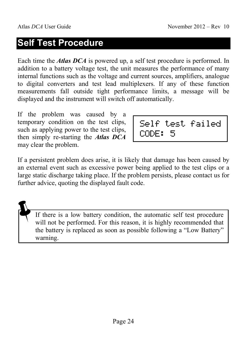# **Self Test Procedure**

Each time the *Atlas DCA* is powered up, a self test procedure is performed. In addition to a battery voltage test, the unit measures the performance of many internal functions such as the voltage and current sources, amplifiers, analogue to digital converters and test lead multiplexers. If any of these function measurements fall outside tight performance limits, a message will be displayed and the instrument will switch off automatically.

If the problem was caused by a temporary condition on the test clips, such as applying power to the test clips, then simply re-starting the *Atlas DCA* may clear the problem.

|       | Self test failed |
|-------|------------------|
| CODE: |                  |

If a persistent problem does arise, it is likely that damage has been caused by an external event such as excessive power being applied to the test clips or a large static discharge taking place. If the problem persists, please contact us for further advice, quoting the displayed fault code.

 If there is a low battery condition, the automatic self test procedure will not be performed. For this reason, it is highly recommended that the battery is replaced as soon as possible following a "Low Battery" warning.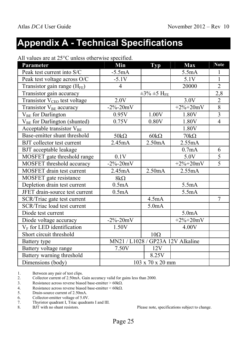# **Appendix A - Technical Specifications**

All values are at 25°C unless otherwise specified.

| Parameter                                | <b>Min</b>                        | <b>Typ</b>                      | <b>Max</b>         | <b>Note</b>    |
|------------------------------------------|-----------------------------------|---------------------------------|--------------------|----------------|
| Peak test current into S/C               | $-5.5mA$                          |                                 | 5.5mA              | 1              |
| Peak test voltage across O/C             | $-5.1V$                           |                                 | 5.1V               | $\mathbf{1}$   |
| Transistor gain range $(H_{FE})$         | $\overline{4}$                    |                                 | 20000              | $\overline{2}$ |
| Transistor gain accuracy                 |                                   | $\pm 3\% \pm 5$ H <sub>FE</sub> |                    | 2,8            |
| Transistor V <sub>CEO</sub> test voltage | 2.0V                              |                                 | 3.0V               | $\overline{2}$ |
| Transistor V <sub>BE</sub> accuracy      | $-2\% - 20mV$                     |                                 | $+2\% + 20mV$      | $\overline{8}$ |
| V <sub>BE</sub> for Darlington           | 0.95V                             | 1.00V                           | 1.80V              | $\overline{3}$ |
| V <sub>BE</sub> for Darlington (shunted) | 0.75V                             | 0.80V                           | 1.80V              | $\overline{4}$ |
| Acceptable transistor $V_{BE}$           |                                   |                                 | 1.80V              |                |
| Base-emitter shunt threshold             | $50k\Omega$                       | $60k\Omega$                     | $70k\Omega$        |                |
| BJT collector test current               | 2.45mA                            | 2.50mA                          | 2.55mA             |                |
| <b>BJT</b> acceptable leakage            |                                   |                                 | 0.7mA              | 6              |
| MOSFET gate threshold range              | 0.1V                              |                                 | 5.0V               | $\overline{5}$ |
| MOSFET threshold accuracy                | $-2\% - 20mV$                     |                                 | $+2\% + 20mV$      | $\overline{5}$ |
| <b>MOSFET</b> drain test current         | 2.45mA                            | 2.50mA                          | 2.55mA             |                |
| MOSFET gate resistance                   | $8k\Omega$                        |                                 |                    |                |
| Depletion drain test current             | 0.5mA                             |                                 | 5.5mA              |                |
| JFET drain-source test current           | 0.5mA                             |                                 | 5.5mA              |                |
| SCR/Triac gate test current              |                                   | 4.5mA                           |                    | $\overline{7}$ |
| <b>SCR/Triac load test current</b>       |                                   | 5.0 <sub>m</sub> A              |                    |                |
| Diode test current                       |                                   |                                 | 5.0 <sub>m</sub> A |                |
| Diode voltage accuracy                   | $-2\% - 20mV$                     |                                 | $+2\% + 20mV$      |                |
| $V_F$ for LED identification             | 1.50V                             |                                 | 4.00V              |                |
| Short circuit threshold                  |                                   | $10\Omega$                      |                    |                |
| Battery type                             | MN21 / L1028 / GP23A 12V Alkaline |                                 |                    |                |
| Battery voltage range                    | 7.50V                             | 12V                             |                    |                |
| Battery warning threshold                |                                   | 8.25V                           |                    |                |
| Dimensions (body)                        |                                   | 103 x 70 x 20 mm                |                    |                |

1. Between any pair of test clips.

2. Collector current of 2.50mA. Gain accuracy valid for gains less than 2000.

3. Resistance across reverse biased base-emitter  $> 60k\Omega$ .

4. Resistance across reverse biased base-emitter  $< 60 \text{k}\Omega$ .<br>5. Drain-source current of 2.50mA.

Drain-source current of 2.50mA.

6. Collector-emitter voltage of 5.0V.

7. Thyristor quadrant I, Triac quadrants I and III.

8. BJT with no shunt resistors. Please note, specifications subject to change.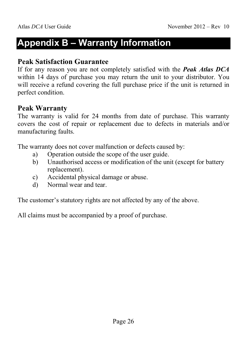# **Appendix B – Warranty Information**

#### **Peak Satisfaction Guarantee**

If for any reason you are not completely satisfied with the *Peak Atlas DCA* within 14 days of purchase you may return the unit to your distributor. You will receive a refund covering the full purchase price if the unit is returned in perfect condition.

#### **Peak Warranty**

The warranty is valid for 24 months from date of purchase. This warranty covers the cost of repair or replacement due to defects in materials and/or manufacturing faults.

The warranty does not cover malfunction or defects caused by:

- a) Operation outside the scope of the user guide.
- b) Unauthorised access or modification of the unit (except for battery replacement).
- c) Accidental physical damage or abuse.
- d) Normal wear and tear.

The customer's statutory rights are not affected by any of the above.

All claims must be accompanied by a proof of purchase.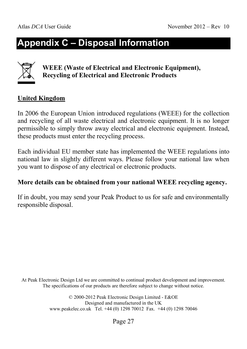# **Appendix C – Disposal Information**

#### **WEEE (Waste of Electrical and Electronic Equipment), Recycling of Electrical and Electronic Products**

#### **United Kingdom**

In 2006 the European Union introduced regulations (WEEE) for the collection and recycling of all waste electrical and electronic equipment. It is no longer permissible to simply throw away electrical and electronic equipment. Instead, these products must enter the recycling process.

Each individual EU member state has implemented the WEEE regulations into national law in slightly different ways. Please follow your national law when you want to dispose of any electrical or electronic products.

#### **More details can be obtained from your national WEEE recycling agency.**

If in doubt, you may send your Peak Product to us for safe and environmentally responsible disposal.

At Peak Electronic Design Ltd we are committed to continual product development and improvement. The specifications of our products are therefore subject to change without notice.

> © 2000-2012 Peak Electronic Design Limited - E&OE Designed and manufactured in the UK www.peakelec.co.uk Tel. +44 (0) 1298 70012 Fax. +44 (0) 1298 70046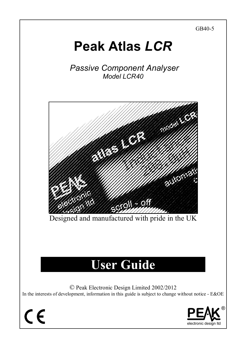

# **Peak Atlas** *LCR*

 *Passive Component Analyser Model LCR40* 



Designed and manufactured with pride in the UK

# **User Guide**

© Peak Electronic Design Limited 2002/2012

In the interests of development, information in this guide is subject to change without notice - E&OE

 $\epsilon$ 

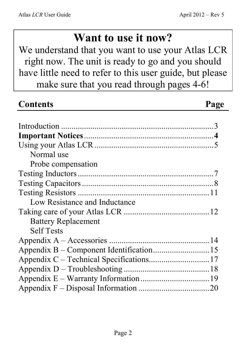# **Want to use it now?**

We understand that you want to use your Atlas LCR right now. The unit is ready to go and you should have little need to refer to this user guide, but please make sure that you read through pages 4-6!

| <b>Contents</b>               | Page |
|-------------------------------|------|
|                               |      |
|                               |      |
|                               |      |
|                               |      |
| Normal use                    |      |
| Probe compensation            |      |
|                               |      |
|                               |      |
|                               |      |
| Low Resistance and Inductance |      |
|                               |      |
| <b>Battery Replacement</b>    |      |
| <b>Self Tests</b>             |      |
|                               |      |
|                               |      |
|                               |      |
|                               |      |
|                               |      |
|                               |      |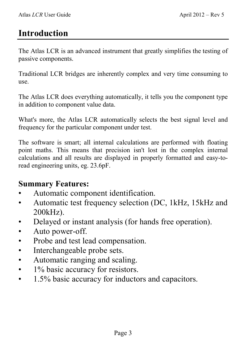# **Introduction**

The Atlas LCR is an advanced instrument that greatly simplifies the testing of passive components.

Traditional LCR bridges are inherently complex and very time consuming to use.

The Atlas LCR does everything automatically, it tells you the component type in addition to component value data.

What's more, the Atlas LCR automatically selects the best signal level and frequency for the particular component under test.

The software is smart; all internal calculations are performed with floating point maths. This means that precision isn't lost in the complex internal calculations and all results are displayed in properly formatted and easy-toread engineering units, eg. 23.6pF.

#### **Summary Features:**

- Automatic component identification.
- Automatic test frequency selection (DC, 1kHz, 15kHz and 200kHz).
- Delayed or instant analysis (for hands free operation).
- Auto power-off.
- Probe and test lead compensation.
- Interchangeable probe sets.
- Automatic ranging and scaling.
- 1% basic accuracy for resistors.
- 1.5% basic accuracy for inductors and capacitors.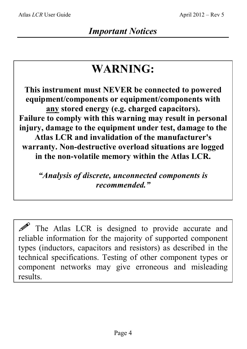# **WARNING:**

**This instrument must NEVER be connected to powered equipment/components or equipment/components with any stored energy (e.g. charged capacitors). Failure to comply with this warning may result in personal injury, damage to the equipment under test, damage to the Atlas LCR and invalidation of the manufacturer's warranty. Non-destructive overload situations are logged in the non-volatile memory within the Atlas LCR.** 

*"Analysis of discrete, unconnected components is recommended."* 

 $\mathscr{P}$  The Atlas LCR is designed to provide accurate and reliable information for the majority of supported component types (inductors, capacitors and resistors) as described in the technical specifications. Testing of other component types or component networks may give erroneous and misleading results.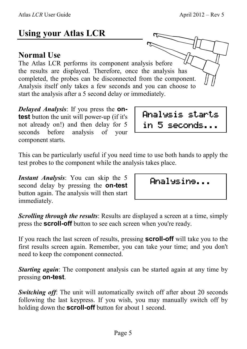# **Using your Atlas LCR**

#### **Normal Use**

The Atlas LCR performs its component analysis before the results are displayed. Therefore, once the analysis has completed, the probes can be disconnected from the component. Analysis itself only takes a few seconds and you can choose to start the analysis after a 5 second delay or immediately.

*Delayed Analysis*: If you press the **ontest** button the unit will power-up (if it's not already on!) and then delay for 5 seconds before analysis of your component starts.

This can be particularly useful if you need time to use both hands to apply the test probes to the component while the analysis takes place.

*Instant Analysis*: You can skip the 5 second delay by pressing the **on-test** button again. The analysis will then start immediately.

|  | Analysine |  |
|--|-----------|--|
|  |           |  |

Analysis starts

in 5 seconds...

*Scrolling through the results*: Results are displayed a screen at a time, simply press the **scroll-off** button to see each screen when you're ready.

If you reach the last screen of results, pressing **scroll-off** will take you to the first results screen again. Remember, you can take your time; and you don't need to keep the component connected.

*Starting again*: The component analysis can be started again at any time by pressing **on-test**.

*Switching off:* The unit will automatically switch off after about 20 seconds following the last keypress. If you wish, you may manually switch off by holding down the **scroll-off** button for about 1 second.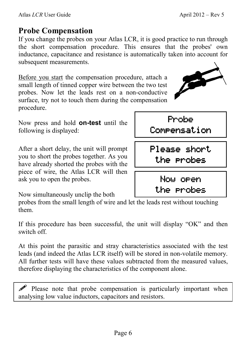### **Probe Compensation**

If you change the probes on your Atlas LCR, it is good practice to run through the short compensation procedure. This ensures that the probes' own inductance, capacitance and resistance is automatically taken into account for subsequent measurements.

Before you start the compensation procedure, attach a small length of tinned copper wire between the two test probes. Now let the leads rest on a non-conductive surface, try not to touch them during the compensation procedure.

Now press and hold **on-test** until the following is displayed:

After a short delay, the unit will prompt you to short the probes together. As you have already shorted the probes with the piece of wire, the Atlas LCR will then ask you to open the probes.

Now simultaneously unclip the both

probes from the small length of wire and let the leads rest without touching them.

If this procedure has been successful, the unit will display "OK" and then switch off.

At this point the parasitic and stray characteristics associated with the test leads (and indeed the Atlas LCR itself) will be stored in non-volatile memory. All further tests will have these values subtracted from the measured values, therefore displaying the characteristics of the component alone.

Please note that probe compensation is particularly important when analysing low value inductors, capacitors and resistors.





the probes

Probe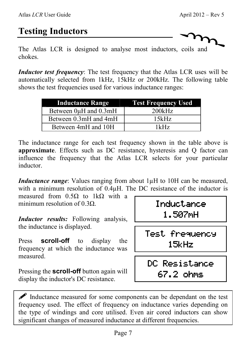# **Testing Inductors**

The Atlas LCR is designed to analyse most inductors, coils and chokes.

*Inductor test frequency*: The test frequency that the Atlas LCR uses will be automatically selected from 1kHz, 15kHz or 200kHz. The following table shows the test frequencies used for various inductance ranges:

| <b>Inductance Range</b> | <b>Test Frequency Used</b> |
|-------------------------|----------------------------|
| Between 0µH and 0.3mH   | 200kHz                     |
| Between 0.3mH and 4mH   | 15kHz                      |
| Between 4mH and 10H     | 1kHz                       |

The inductance range for each test frequency shown in the table above is **approximate**. Effects such as DC resistance, hysteresis and Q factor can influence the frequency that the Atlas LCR selects for your particular inductor.

*Inductance range*: Values ranging from about 1 $\mu$ H to 10H can be measured, with a minimum resolution of  $0.4\mu$ H. The DC resistance of the inductor is

measured from  $0.5\Omega$  to 1k $\Omega$  with a minimum resolution of  $0.3\Omega$ .

*Inductor results:* Following analysis, the inductance is displayed.

Press **scroll-off** to display the frequency at which the inductance was measured.

Pressing the **scroll-off** button again will display the inductor's DC resistance.

Inductance 1.507mH

Test frequency Test frequency 15kHz

DC Resistance DC Resistance 67.2 ohms

 $\mathscr{P}$  Inductance measured for some components can be dependant on the test frequency used. The effect of frequency on inductance varies depending on the type of windings and core utilised. Even air cored inductors can show significant changes of measured inductance at different frequencies.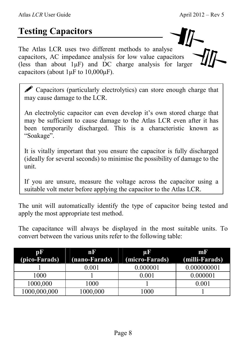# **Testing Capacitors**

The Atlas LCR uses two different methods to analyse capacitors, AC impedance analysis for low value capacitors (less than about  $1\mu$ F) and DC charge analysis for larger capacitors (about  $1 \mu$ F to  $10,000 \mu$ F).

 $\mathscr P$  Capacitors (particularly electrolytics) can store enough charge that may cause damage to the LCR.

An electrolytic capacitor can even develop it's own stored charge that may be sufficient to cause damage to the Atlas LCR even after it has been temporarily discharged. This is a characteristic known as "Soakage".

It is vitally important that you ensure the capacitor is fully discharged (ideally for several seconds) to minimise the possibility of damage to the unit.

If you are unsure, measure the voltage across the capacitor using a suitable volt meter before applying the capacitor to the Atlas LCR.

The unit will automatically identify the type of capacitor being tested and apply the most appropriate test method.

The capacitance will always be displayed in the most suitable units. To convert between the various units refer to the following table:

| pF            | m d           | Цľ             | mr             |
|---------------|---------------|----------------|----------------|
| (pico-Farads) | (nano-Farads) | (micro-Farads) | (milli-Farads) |
|               | 0.001         | 0.000001       | 0.000000001    |
| 1000          |               | $0.001\,$      | 0.000001       |
| 1000,000      | 1000          |                | 0.001          |
| 1000,000,000  | 1000,000      | 1000           |                |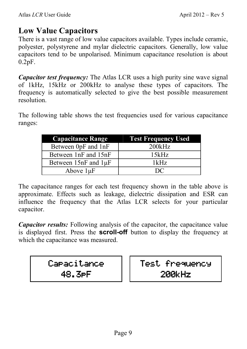#### **Low Value Capacitors**

There is a vast range of low value capacitors available. Types include ceramic, polyester, polystyrene and mylar dielectric capacitors. Generally, low value capacitors tend to be unpolarised. Minimum capacitance resolution is about 0.2pF.

*Capacitor test frequency:* The Atlas LCR uses a high purity sine wave signal of 1kHz, 15kHz or 200kHz to analyse these types of capacitors. The frequency is automatically selected to give the best possible measurement resolution.

The following table shows the test frequencies used for various capacitance ranges:

| <b>Capacitance Range</b>    | <b>Test Frequency Used</b> |
|-----------------------------|----------------------------|
| Between 0pF and 1nF         | 200kHz                     |
| Between 1nF and 15nF        | 15kHz                      |
| Between $15nF$ and $1\mu F$ | 1kHz                       |
| Above $1\mu F$              | $\mathbf{D}$               |

The capacitance ranges for each test frequency shown in the table above is approximate. Effects such as leakage, dielectric dissipation and ESR can influence the frequency that the Atlas LCR selects for your particular capacitor.

*Capacitor results:* Following analysis of the capacitor, the capacitance value is displayed first. Press the **scroll-off** button to display the frequency at which the capacitance was measured.

# Capacitance 48.3pF

Test frequency 200kHz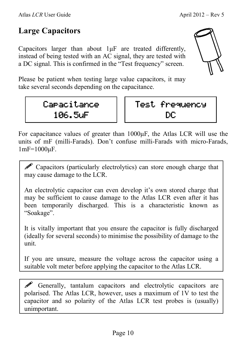# **Large Capacitors**

Capacitors larger than about 1µF are treated differently, instead of being tested with an AC signal, they are tested with a DC signal. This is confirmed in the "Test frequency" screen.

Please be patient when testing large value capacitors, it may take several seconds depending on the capacitance.

# Capacitance 106.5uF



For capacitance values of greater than 1000µF, the Atlas LCR will use the units of mF (milli-Farads). Don't confuse milli-Farads with micro-Farads, 1mF=1000µF.

**P** Capacitors (particularly electrolytics) can store enough charge that may cause damage to the LCR.

An electrolytic capacitor can even develop it's own stored charge that may be sufficient to cause damage to the Atlas LCR even after it has been temporarily discharged. This is a characteristic known as "Soakage".

It is vitally important that you ensure the capacitor is fully discharged (ideally for several seconds) to minimise the possibility of damage to the unit.

If you are unsure, measure the voltage across the capacitor using a suitable volt meter before applying the capacitor to the Atlas LCR.

 $\mathscr P$  Generally, tantalum capacitors and electrolytic capacitors are polarised. The Atlas LCR, however, uses a maximum of 1V to test the capacitor and so polarity of the Atlas LCR test probes is (usually) unimportant.

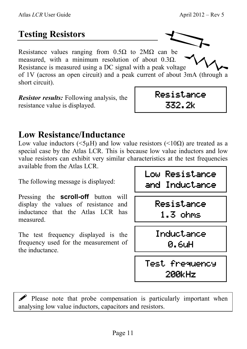# **Testing Resistors**

Resistance values ranging from  $0.5\Omega$  to  $2M\Omega$  can be measured, with a minimum resolution of about  $0.3\Omega$ . Resistance is measured using a DC signal with a peak voltage of 1V (across an open circuit) and a peak current of about 3mA (through a short circuit).

*Resistor results:* Following analysis, the resistance value is displayed.

# **Low Resistance/Inductance**

Low value inductors ( $\leq 5\mu$ H) and low value resistors ( $\leq 10\Omega$ ) are treated as a special case by the Atlas LCR. This is because low value inductors and low value resistors can exhibit very similar characteristics at the test frequencies available from the Atlas LCR.

The following message is displayed:

Pressing the **scroll-off** button will display the values of resistance and inductance that the Atlas LCR has measured.

The test frequency displayed is the frequency used for the measurement of the inductance.

Low Resistance Low Resistance and Inductance

Resistance

332.2k

Resistance 1.3 ohms

Inductance Inductance 0.6uH

Test frequency 200kHz

 $\mathscr P$  Please note that probe compensation is particularly important when analysing low value inductors, capacitors and resistors.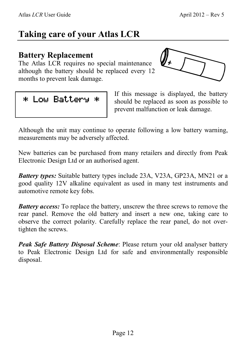# **Taking care of your Atlas LCR**

#### **Battery Replacement**

The Atlas LCR requires no special maintenance although the battery should be replaced every 12 months to prevent leak damage.



\* Low Battery \* \*

If this message is displayed, the battery should be replaced as soon as possible to prevent malfunction or leak damage.

Although the unit may continue to operate following a low battery warning, measurements may be adversely affected.

New batteries can be purchased from many retailers and directly from Peak Electronic Design Ltd or an authorised agent.

*Battery types:* Suitable battery types include 23A, V23A, GP23A, MN21 or a good quality 12V alkaline equivalent as used in many test instruments and automotive remote key fobs.

*Battery access:* To replace the battery, unscrew the three screws to remove the rear panel. Remove the old battery and insert a new one, taking care to observe the correct polarity. Carefully replace the rear panel, do not overtighten the screws.

*Peak Safe Battery Disposal Scheme*: Please return your old analyser battery to Peak Electronic Design Ltd for safe and environmentally responsible disposal.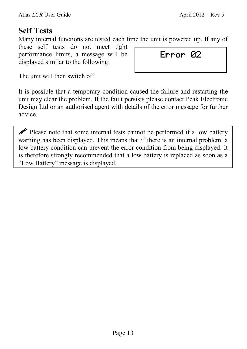### **Self Tests**

Many internal functions are tested each time the unit is powered up. If any of

these self tests do not meet tight performance limits, a message will be displayed similar to the following:

Error 02

The unit will then switch off.

It is possible that a temporary condition caused the failure and restarting the unit may clear the problem. If the fault persists please contact Peak Electronic Design Ltd or an authorised agent with details of the error message for further advice.

 $\mathscr P$  Please note that some internal tests cannot be performed if a low battery warning has been displayed. This means that if there is an internal problem, a low battery condition can prevent the error condition from being displayed. It is therefore strongly recommended that a low battery is replaced as soon as a "Low Battery" message is displayed.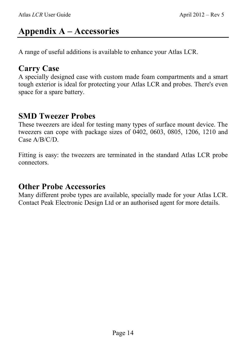# **Appendix A – Accessories**

A range of useful additions is available to enhance your Atlas LCR.

#### **Carry Case**

A specially designed case with custom made foam compartments and a smart tough exterior is ideal for protecting your Atlas LCR and probes. There's even space for a spare battery.

#### **SMD Tweezer Probes**

These tweezers are ideal for testing many types of surface mount device. The tweezers can cope with package sizes of 0402, 0603, 0805, 1206, 1210 and Case A/B/C/D.

Fitting is easy: the tweezers are terminated in the standard Atlas LCR probe connectors.

#### **Other Probe Accessories**

Many different probe types are available, specially made for your Atlas LCR. Contact Peak Electronic Design Ltd or an authorised agent for more details.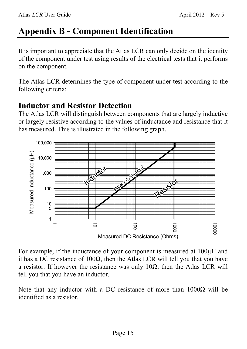# **Appendix B - Component Identification**

It is important to appreciate that the Atlas LCR can only decide on the identity of the component under test using results of the electrical tests that it performs on the component.

The Atlas LCR determines the type of component under test according to the following criteria:

#### **Inductor and Resistor Detection**

The Atlas LCR will distinguish between components that are largely inductive or largely resistive according to the values of inductance and resistance that it has measured. This is illustrated in the following graph.



For example, if the inductance of your component is measured at 100µH and it has a DC resistance of  $100\Omega$ , then the Atlas LCR will tell you that you have a resistor. If however the resistance was only 10 $\Omega$ , then the Atlas LCR will tell you that you have an inductor.

Note that any inductor with a DC resistance of more than 1000Ω will be identified as a resistor.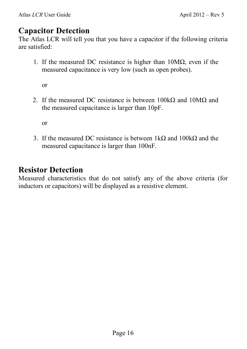#### **Capacitor Detection**

The Atlas LCR will tell you that you have a capacitor if the following criteria are satisfied:

1. If the measured DC resistance is higher than 10MΩ, even if the measured capacitance is very low (such as open probes).

or

2. If the measured DC resistance is between  $100k\Omega$  and  $10M\Omega$  and the measured capacitance is larger than 10pF.

or

3. If the measured DC resistance is between  $1k\Omega$  and  $100k\Omega$  and the measured capacitance is larger than 100nF.

#### **Resistor Detection**

Measured characteristics that do not satisfy any of the above criteria (for inductors or capacitors) will be displayed as a resistive element.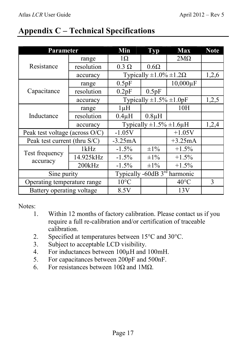### **Appendix C – Technical Specifications**

| Parameter                      |            | Min                                      | <b>Typ</b>  | <b>Max</b>     | <b>Note</b> |
|--------------------------------|------------|------------------------------------------|-------------|----------------|-------------|
| Resistance                     | range      | $1\Omega$                                |             | $2M\Omega$     |             |
|                                | resolution | $0.3 \Omega$                             | $0.6\Omega$ |                |             |
|                                | accuracy   | Typically $\pm 1.0\% \pm 1.2\Omega$      |             | 1,2,6          |             |
| Capacitance                    | range      | 0.5pF                                    |             | $10,000 \mu F$ |             |
|                                | resolution | 0.2pF                                    | 0.5pF       |                |             |
|                                | accuracy   | Typically $\pm 1.5\% \pm 1.0$ pF         |             |                | 1,2,5       |
| Inductance                     | range      | $1 \mu H$                                |             | 10H            |             |
|                                | resolution | $0.4\mu H$                               | $0.8\mu H$  |                |             |
|                                | accuracy   | Typically $\pm 1.5\% \pm 1.6\mu$ H       |             |                | 1,2,4       |
| Peak test voltage (across O/C) |            | $-1.05V$                                 |             | $+1.05V$       |             |
| Peak test current (thru S/C)   |            | $-3.25mA$                                |             | $+3.25mA$      |             |
| Test frequency<br>accuracy     | 1kHz       | $-1.5\%$                                 | $\pm 1\%$   | $+1.5\%$       |             |
|                                | 14.925kHz  | $-1.5\%$                                 | $\pm 1\%$   | $+1.5\%$       |             |
|                                | 200kHz     | $-1.5\%$                                 | $\pm 1\%$   | $+1.5\%$       |             |
| Sine purity                    |            | Typically -60dB 3 <sup>rd</sup> harmonic |             |                |             |
| Operating temperature range    |            | $10^{\circ}$ C                           |             | $40^{\circ}$ C | 3           |
| Battery operating voltage      |            | 8.5V                                     |             | 13V            |             |

Notes:

- 1. Within 12 months of factory calibration. Please contact us if you require a full re-calibration and/or certification of traceable calibration.
- 2. Specified at temperatures between 15°C and 30°C.
- 3. Subject to acceptable LCD visibility.
- 4. For inductances between 100µH and 100mH.
- 5. For capacitances between 200pF and 500nF.
- 6. For resistances between 10Ω and 1MΩ.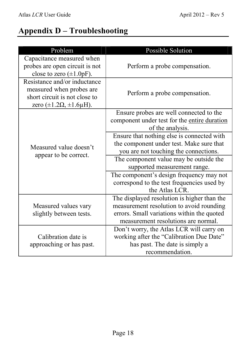### **Appendix D – Troubleshooting**

| Problem                                                                                                                             | <b>Possible Solution</b>                                                                                                                                                                                                                                                                                                                                                                                                             |  |  |
|-------------------------------------------------------------------------------------------------------------------------------------|--------------------------------------------------------------------------------------------------------------------------------------------------------------------------------------------------------------------------------------------------------------------------------------------------------------------------------------------------------------------------------------------------------------------------------------|--|--|
| Capacitance measured when<br>probes are open circuit is not<br>close to zero $(\pm 1.0pF)$ .                                        | Perform a probe compensation.                                                                                                                                                                                                                                                                                                                                                                                                        |  |  |
| Resistance and/or inductance<br>measured when probes are<br>short circuit is not close to<br>zero $(\pm 1.2\Omega, \pm 1.6\mu H)$ . | Perform a probe compensation.                                                                                                                                                                                                                                                                                                                                                                                                        |  |  |
| Measured value doesn't<br>appear to be correct.                                                                                     | Ensure probes are well connected to the<br>component under test for the entire duration<br>of the analysis.<br>Ensure that nothing else is connected with<br>the component under test. Make sure that<br>you are not touching the connections.<br>The component value may be outside the<br>supported measurement range.<br>The component's design frequency may not<br>correspond to the test frequencies used by<br>the Atlas LCR. |  |  |
| Measured values vary<br>slightly between tests.                                                                                     | The displayed resolution is higher than the<br>measurement resolution to avoid rounding<br>errors. Small variations within the quoted<br>measurement resolutions are normal.                                                                                                                                                                                                                                                         |  |  |
| Calibration date is<br>approaching or has past.                                                                                     | Don't worry, the Atlas LCR will carry on<br>working after the "Calibration Due Date"<br>has past. The date is simply a<br>recommendation.                                                                                                                                                                                                                                                                                            |  |  |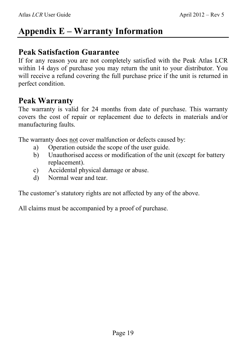# **Appendix E – Warranty Information**

#### **Peak Satisfaction Guarantee**

If for any reason you are not completely satisfied with the Peak Atlas LCR within 14 days of purchase you may return the unit to your distributor. You will receive a refund covering the full purchase price if the unit is returned in perfect condition.

#### **Peak Warranty**

The warranty is valid for 24 months from date of purchase. This warranty covers the cost of repair or replacement due to defects in materials and/or manufacturing faults.

The warranty does not cover malfunction or defects caused by:

- a) Operation outside the scope of the user guide.
- b) Unauthorised access or modification of the unit (except for battery replacement).
- c) Accidental physical damage or abuse.
- d) Normal wear and tear.

The customer's statutory rights are not affected by any of the above.

All claims must be accompanied by a proof of purchase.